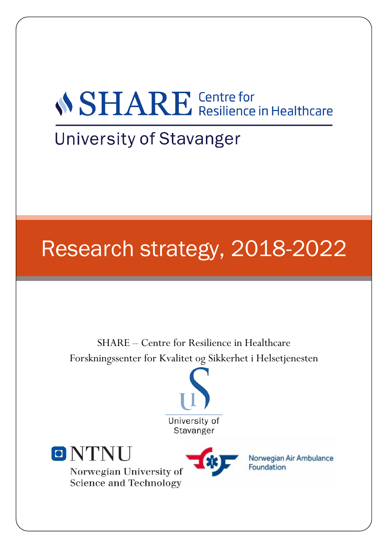# *NSHARE* Centre for<br>Resilience in Healthcare

### **University of Stavanger**

## Research strategy, 2018-2022

SHARE – Centre for Resilience in Healthcare Forskningssenter for Kvalitet og Sikkerhet i Helsetjenesten





Norwegian University of Science and Technology



Norwegian Air Ambulance Foundation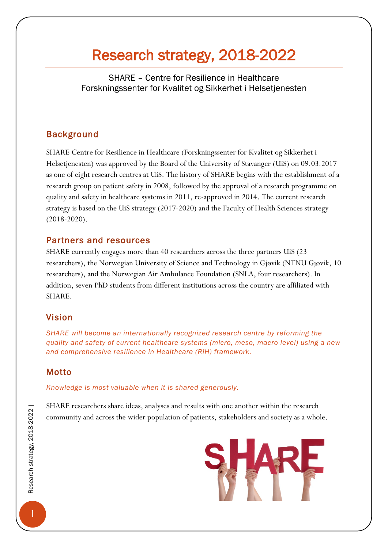### Research strategy, 2018-2022

SHARE – Centre for Resilience in Healthcare Forskningssenter for Kvalitet og Sikkerhet i Helsetjenesten

#### Background

SHARE Centre for Resilience in Healthcare (Forskningssenter for Kvalitet og Sikkerhet i Helsetjenesten) was approved by the Board of the University of Stavanger (UiS) on 09.03.2017 as one of eight research centres at UiS. The history of SHARE begins with the establishment of a research group on patient safety in 2008, followed by the approval of a research programme on quality and safety in healthcare systems in 2011, re-approved in 2014. The current research strategy is based on the UiS strategy (2017-2020) and the Faculty of Health Sciences strategy (2018-2020).

#### Partners and resources

SHARE currently engages more than 40 researchers across the three partners UiS (23 researchers), the Norwegian University of Science and Technology in Gjøvik (NTNU Gjøvik, 10 researchers), and the Norwegian Air Ambulance Foundation (SNLA, four researchers). In addition, seven PhD students from different institutions across the country are affiliated with SHARE.

#### Vision

*SHARE will become an internationally recognized research centre by reforming the quality and safety of current healthcare systems (micro, meso, macro level) using a new and comprehensive resilience in Healthcare (RiH) framework.*

#### Motto

*Knowledge is most valuable when it is shared generously.*

SHARE researchers share ideas, analyses and results with one another within the research community and across the wider population of patients, stakeholders and society as a whole.

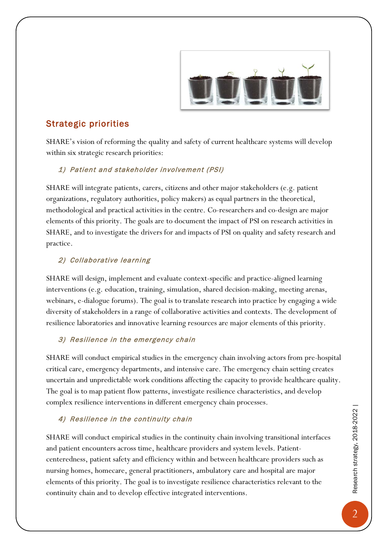

#### Strategic priorities

SHARE's vision of reforming the quality and safety of current healthcare systems will develop within six strategic research priorities:

#### 1) Patient and stakeholder involvement (PSI)

SHARE will integrate patients, carers, citizens and other major stakeholders (e.g. patient organizations, regulatory authorities, policy makers) as equal partners in the theoretical, methodological and practical activities in the centre. Co-researchers and co-design are major elements of this priority. The goals are to document the impact of PSI on research activities in SHARE, and to investigate the drivers for and impacts of PSI on quality and safety research and practice.

#### 2) Collaborative learning

SHARE will design, implement and evaluate context-specific and practice-aligned learning interventions (e.g. education, training, simulation, shared decision-making, meeting arenas, webinars, e-dialogue forums). The goal is to translate research into practice by engaging a wide diversity of stakeholders in a range of collaborative activities and contexts. The development of resilience laboratories and innovative learning resources are major elements of this priority.

#### 3) Resilience in the emergency chain

SHARE will conduct empirical studies in the emergency chain involving actors from pre-hospital critical care, emergency departments, and intensive care. The emergency chain setting creates uncertain and unpredictable work conditions affecting the capacity to provide healthcare quality. The goal is to map patient flow patterns, investigate resilience characteristics, and develop complex resilience interventions in different emergency chain processes.

#### 4) Resilience in the continuity chain

SHARE will conduct empirical studies in the continuity chain involving transitional interfaces and patient encounters across time, healthcare providers and system levels. Patientcenteredness, patient safety and efficiency within and between healthcare providers such as nursing homes, homecare, general practitioners, ambulatory care and hospital are major elements of this priority. The goal is to investigate resilience characteristics relevant to the continuity chain and to develop effective integrated interventions.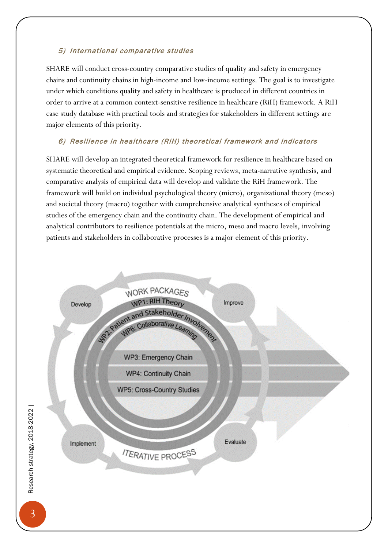#### 5) International comparative studies

SHARE will conduct cross-country comparative studies of quality and safety in emergency chains and continuity chains in high-income and low-income settings. The goal is to investigate under which conditions quality and safety in healthcare is produced in different countries in order to arrive at a common context-sensitive resilience in healthcare (RiH) framework. A RiH case study database with practical tools and strategies for stakeholders in different settings are major elements of this priority.

#### 6) Resilience in healthcare (RiH) theoretical framework and indicators

SHARE will develop an integrated theoretical framework for resilience in healthcare based on systematic theoretical and empirical evidence. Scoping reviews, meta-narrative synthesis, and comparative analysis of empirical data will develop and validate the RiH framework. The framework will build on individual psychological theory (micro), organizational theory (meso) and societal theory (macro) together with comprehensive analytical syntheses of empirical studies of the emergency chain and the continuity chain. The development of empirical and analytical contributors to resilience potentials at the micro, meso and macro levels, involving patients and stakeholders in collaborative processes is a major element of this priority.



Research strategy, 2018-2022 |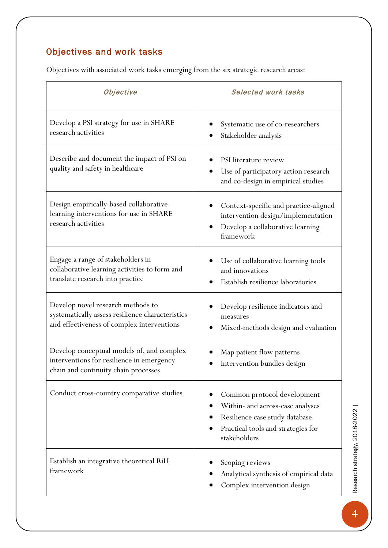#### Objectives and work tasks

Objectives with associated work tasks emerging from the six strategic research areas:

| Objective                                                                                                                           | <b>Selected work tasks</b>                                                                                                                              |
|-------------------------------------------------------------------------------------------------------------------------------------|---------------------------------------------------------------------------------------------------------------------------------------------------------|
| Develop a PSI strategy for use in SHARE<br>research activities                                                                      | Systematic use of co-researchers<br>Stakeholder analysis                                                                                                |
| Describe and document the impact of PSI on<br>quality and safety in healthcare                                                      | PSI literature review<br>Use of participatory action research<br>and co-design in empirical studies                                                     |
| Design empirically-based collaborative<br>learning interventions for use in SHARE<br>research activities                            | Context-specific and practice-aligned<br>intervention design/implementation<br>Develop a collaborative learning<br>framework                            |
| Engage a range of stakeholders in<br>collaborative learning activities to form and<br>translate research into practice              | Use of collaborative learning tools<br>and innovations<br>Establish resilience laboratories                                                             |
| Develop novel research methods to<br>systematically assess resilience characteristics<br>and effectiveness of complex interventions | Develop resilience indicators and<br>measures<br>Mixed-methods design and evaluation                                                                    |
| Develop conceptual models of, and complex<br>interventions for resilience in emergency<br>chain and continuity chain processes      | Map patient flow patterns<br>Intervention bundles design                                                                                                |
| Conduct cross-country comparative studies                                                                                           | Common protocol development<br>Within- and across-case analyses<br>Resilience case study database<br>Practical tools and strategies for<br>stakeholders |
| Establish an integrative theoretical RiH<br>framework                                                                               | Scoping reviews<br>Analytical synthesis of empirical data<br>Complex intervention design                                                                |